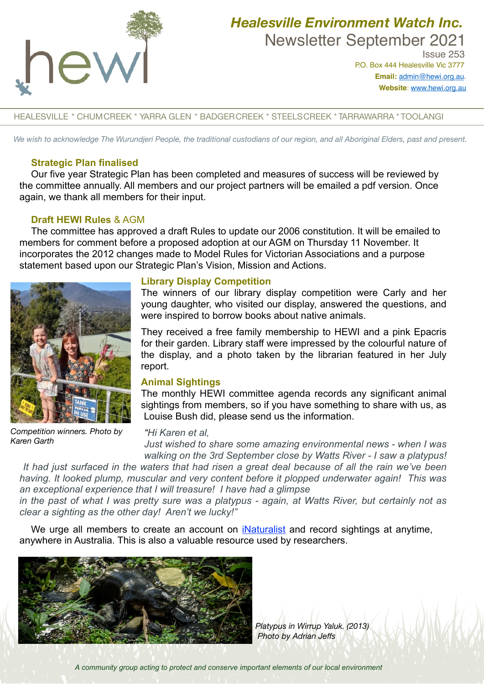

# *Healesville Environment Watch Inc.*  Newsletter September 2021

 Issue 253 P.O. Box 444 Healesville Vic 3777 **Email:** [admin@hewi.org.au](mailto:admin@hewi.org.au)**. Website**: [www.hewi.org.au](http://www.hewi.org.au)

HEALESVILLE \* CHUMCREEK \* YARRA GLEN \* BADGERCREEK \* STEELSCREEK \* TARRAWARRA \* TOOLANGI

*We wish to acknowledge The Wurundjeri People, the traditional custodians of our region, and all Aboriginal Elders, past and present.*

# **Strategic Plan finalised**

Our five year Strategic Plan has been completed and measures of success will be reviewed by the committee annually. All members and our project partners will be emailed a pdf version. Once again, we thank all members for their input.

# **Draft HEWI Rules** & AGM

The committee has approved a draft Rules to update our 2006 constitution. It will be emailed to members for comment before a proposed adoption at our AGM on Thursday 11 November. It incorporates the 2012 changes made to Model Rules for Victorian Associations and a purpose statement based upon our Strategic Plan's Vision, Mission and Actions.



*Competition winners. Photo by Karen Garth*

# **Library Display Competition**

The winners of our library display competition were Carly and her young daughter, who visited our display, answered the questions, and were inspired to borrow books about native animals.

They received a free family membership to HEWI and a pink Epacris for their garden. Library staff were impressed by the colourful nature of the display, and a photo taken by the librarian featured in her July report.

# **Animal Sightings**

The monthly HEWI committee agenda records any significant animal sightings from members, so if you have something to share with us, as Louise Bush did, please send us the information.

#### *"Hi Karen et al,*

*Just wished to share some amazing environmental news - when I was walking on the 3rd September close by Watts River - I saw a platypus!* 

 *It had just surfaced in the waters that had risen a great deal because of all the rain we've been having. It looked plump, muscular and very content before it plopped underwater again! This was an exceptional experience that I will treasure! I have had a glimpse*

*in the past of what I was pretty sure was a platypus - again, at Watts River, but certainly not as clear a sighting as the other day! Aren't we lucky!"*

We urge all members to create an account on *[iNaturalist](https://inaturalist.ala.org.au/)* and record sightings at anytime. anywhere in Australia. This is also a valuable resource used by researchers.



*Platypus in Wirrup Yaluk. (2013) Photo by Adrian Jeffs*